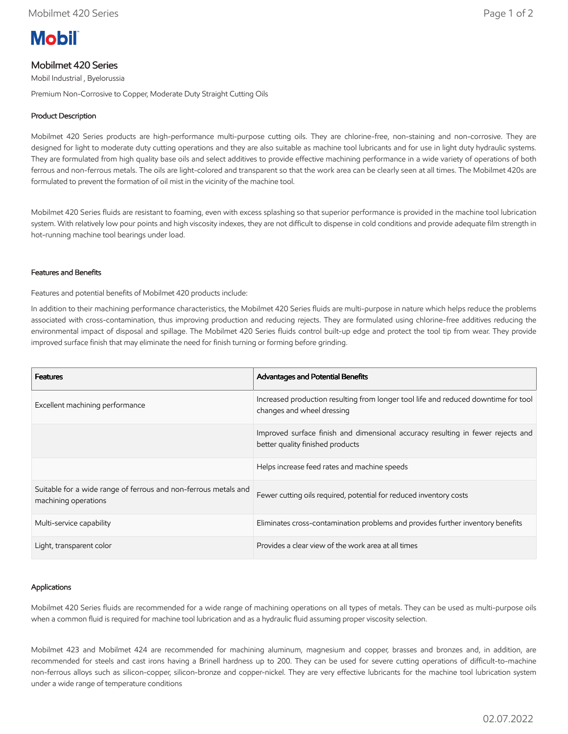# **Mobil**

## Mobilmet 420 Series

Mobil Industrial , Byelorussia

Premium Non-Corrosive to Copper, Moderate Duty Straight Cutting Oils

### Product Description

Mobilmet 420 Series products are high-performance multi-purpose cutting oils. They are chlorine-free, non-staining and non-corrosive. They are designed for light to moderate duty cutting operations and they are also suitable as machine tool lubricants and for use in light duty hydraulic systems. They are formulated from high quality base oils and select additives to provide effective machining performance in a wide variety of operations of both ferrous and non-ferrous metals. The oils are light-colored and transparent so that the work area can be clearly seen at all times. The Mobilmet 420s are formulated to prevent the formation of oil mist in the vicinity of the machine tool.

Mobilmet 420 Series fluids are resistant to foaming, even with excess splashing so that superior performance is provided in the machine tool lubrication system. With relatively low pour points and high viscosity indexes, they are not difficult to dispense in cold conditions and provide adequate film strength in hot-running machine tool bearings under load.

#### Features and Benefits

Features and potential benefits of Mobilmet 420 products include:

In addition to their machining performance characteristics, the Mobilmet 420 Series fluids are multi-purpose in nature which helps reduce the problems associated with cross-contamination, thus improving production and reducing rejects. They are formulated using chlorine-free additives reducing the environmental impact of disposal and spillage. The Mobilmet 420 Series fluids control built-up edge and protect the tool tip from wear. They provide improved surface finish that may eliminate the need for finish turning or forming before grinding.

| <b>Features</b>                                                                         | <b>Advantages and Potential Benefits</b>                                                                            |
|-----------------------------------------------------------------------------------------|---------------------------------------------------------------------------------------------------------------------|
| Excellent machining performance                                                         | Increased production resulting from longer tool life and reduced downtime for tool<br>changes and wheel dressing    |
|                                                                                         | Improved surface finish and dimensional accuracy resulting in fewer rejects and<br>better quality finished products |
|                                                                                         | Helps increase feed rates and machine speeds                                                                        |
| Suitable for a wide range of ferrous and non-ferrous metals and<br>machining operations | Fewer cutting oils required, potential for reduced inventory costs                                                  |
| Multi-service capability                                                                | Eliminates cross-contamination problems and provides further inventory benefits                                     |
| Light, transparent color                                                                | Provides a clear view of the work area at all times                                                                 |

#### Applications

Mobilmet 420 Series fluids are recommended for a wide range of machining operations on all types of metals. They can be used as multi-purpose oils when a common fluid is required for machine tool lubrication and as a hydraulic fluid assuming proper viscosity selection.

Mobilmet 423 and Mobilmet 424 are recommended for machining aluminum, magnesium and copper, brasses and bronzes and, in addition, are recommended for steels and cast irons having a Brinell hardness up to 200. They can be used for severe cutting operations of difficult-to-machine non-ferrous alloys such as silicon-copper, silicon-bronze and copper-nickel. They are very effective lubricants for the machine tool lubrication system under a wide range of temperature conditions